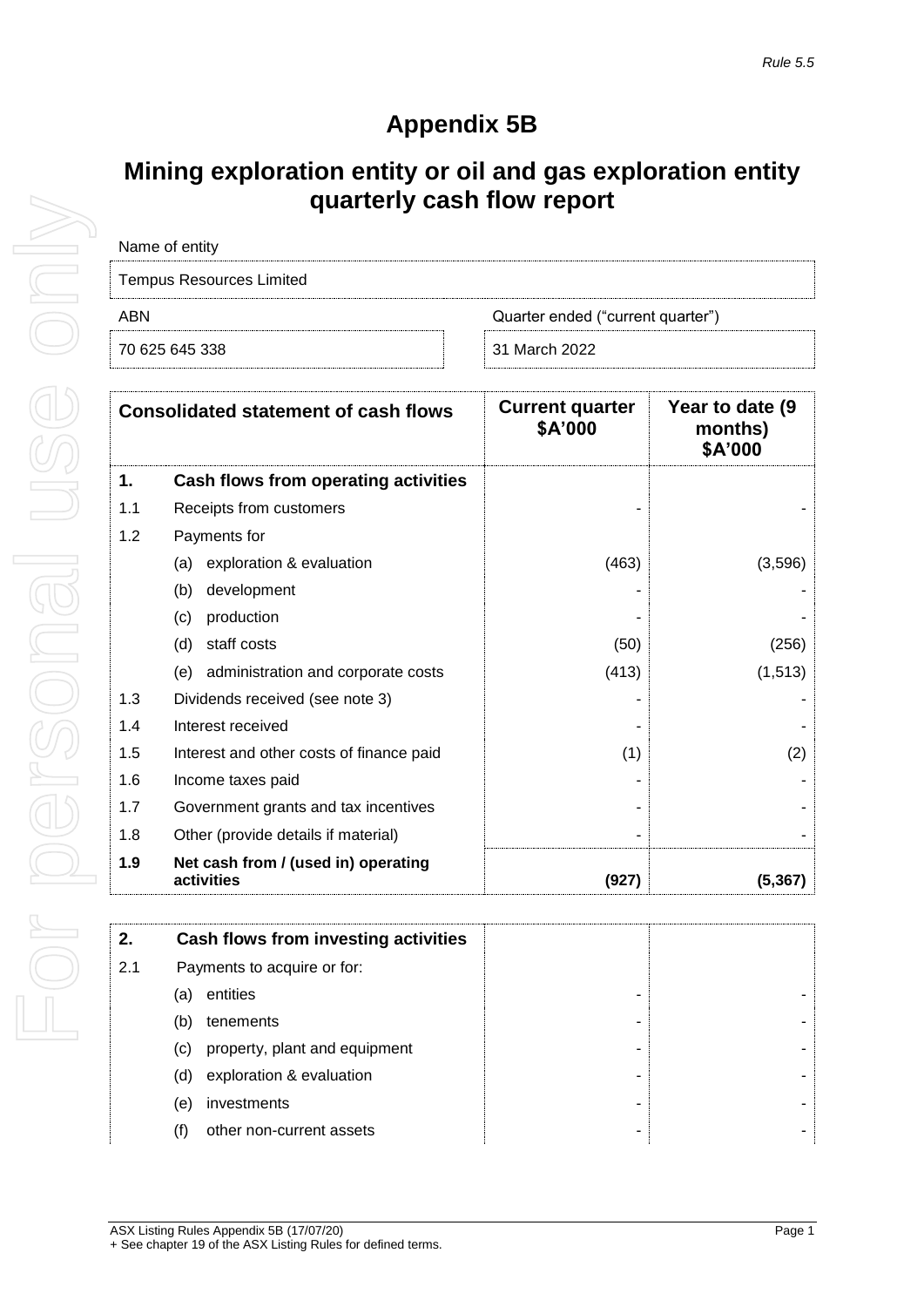# **Appendix 5B**

## **Mining exploration entity or oil and gas exploration entity quarterly cash flow report**

| Name of entity                  |                                   |
|---------------------------------|-----------------------------------|
| <b>Tempus Resources Limited</b> |                                   |
| ARN                             | Quarter ended ("current quarter") |
| 70 625 645 338                  | 31 March 2022                     |

|     | <b>Consolidated statement of cash flows</b>       | <b>Current quarter</b><br>\$A'000 | Year to date (9<br>months)<br>\$A'000 |
|-----|---------------------------------------------------|-----------------------------------|---------------------------------------|
| 1.  | Cash flows from operating activities              |                                   |                                       |
| 1.1 | Receipts from customers                           |                                   |                                       |
| 1.2 | Payments for                                      |                                   |                                       |
|     | exploration & evaluation<br>(a)                   | (463)                             | (3,596)                               |
|     | development<br>(b)                                |                                   |                                       |
|     | production<br>(c)                                 |                                   |                                       |
|     | staff costs<br>(d)                                | (50)                              | (256)                                 |
|     | administration and corporate costs<br>(e)         | (413)                             | (1, 513)                              |
| 1.3 | Dividends received (see note 3)                   |                                   |                                       |
| 1.4 | Interest received                                 |                                   |                                       |
| 1.5 | Interest and other costs of finance paid          | (1)                               | (2)                                   |
| 1.6 | Income taxes paid                                 |                                   |                                       |
| 1.7 | Government grants and tax incentives              |                                   |                                       |
| 1.8 | Other (provide details if material)               |                                   |                                       |
| 1.9 | Net cash from / (used in) operating<br>activities | (927)                             | (5, 367)                              |

| 2.  | Cash flows from investing activities |
|-----|--------------------------------------|
| 2.1 | Payments to acquire or for:          |
|     | entities<br>(a)                      |
|     | tenements<br>(b)                     |
|     | property, plant and equipment<br>(c) |
|     | exploration & evaluation<br>(d)      |
|     | investments<br>(e)                   |
| (†) | other non-current assets             |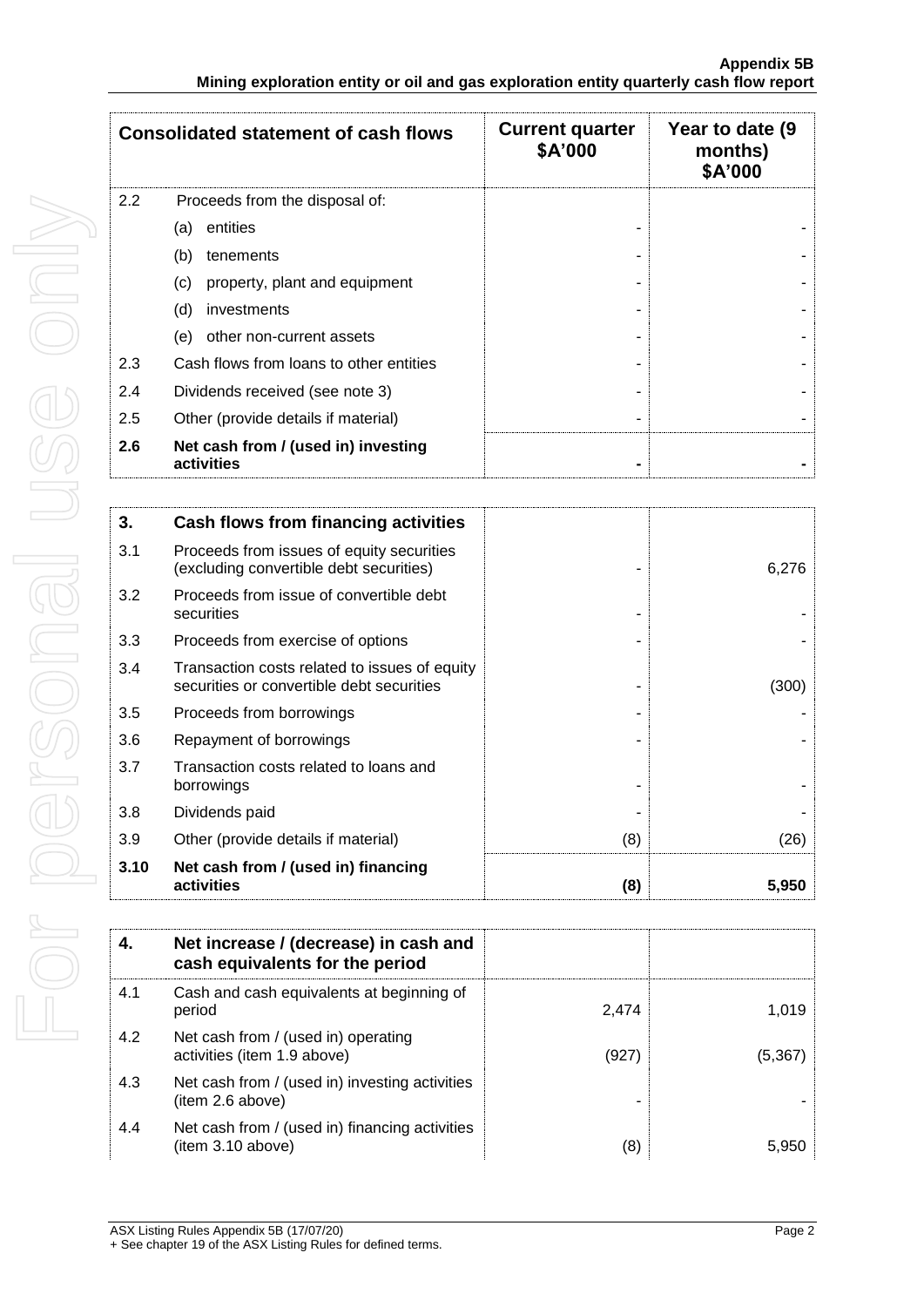|     | <b>Consolidated statement of cash flows</b>       | <b>Current quarter</b><br>\$A'000 | Year to date (9)<br>months)<br>\$A'000 |
|-----|---------------------------------------------------|-----------------------------------|----------------------------------------|
| 2.2 | Proceeds from the disposal of:                    |                                   |                                        |
|     | entities<br>(a)                                   |                                   |                                        |
|     | (b)<br>tenements                                  |                                   |                                        |
|     | (c)<br>property, plant and equipment              |                                   |                                        |
|     | (d)<br>investments                                |                                   |                                        |
|     | (e)<br>other non-current assets                   |                                   |                                        |
| 2.3 | Cash flows from loans to other entities           |                                   |                                        |
| 2.4 | Dividends received (see note 3)                   |                                   |                                        |
| 2.5 | Other (provide details if material)               |                                   |                                        |
| 2.6 | Net cash from / (used in) investing<br>activities |                                   |                                        |

| 3.   | Cash flows from financing activities                                                       |     |       |
|------|--------------------------------------------------------------------------------------------|-----|-------|
| 3.1  | Proceeds from issues of equity securities<br>(excluding convertible debt securities)       |     | 6,276 |
| 3.2  | Proceeds from issue of convertible debt<br>securities                                      |     |       |
| 3.3  | Proceeds from exercise of options                                                          |     |       |
| 3.4  | Transaction costs related to issues of equity<br>securities or convertible debt securities |     | (300) |
| 3.5  | Proceeds from borrowings                                                                   |     |       |
| 3.6  | Repayment of borrowings                                                                    |     |       |
| 3.7  | Transaction costs related to loans and<br>borrowings                                       |     |       |
| 3.8  | Dividends paid                                                                             |     |       |
| 3.9  | Other (provide details if material)                                                        | (8) | (26)  |
| 3.10 | Net cash from / (used in) financing<br>activities                                          | (8) | 5,950 |

|     | Net increase / (decrease) in cash and<br>cash equivalents for the period |       |          |
|-----|--------------------------------------------------------------------------|-------|----------|
| 4.1 | Cash and cash equivalents at beginning of<br>period                      | 2.474 | 1.019    |
| 4.2 | Net cash from / (used in) operating<br>activities (item 1.9 above)       | (927) | (5, 367) |
| 4.3 | Net cash from / (used in) investing activities<br>(item 2.6 above)       |       |          |
| 4.4 | Net cash from / (used in) financing activities<br>(item 3.10 above)      | (8)   | 5,950    |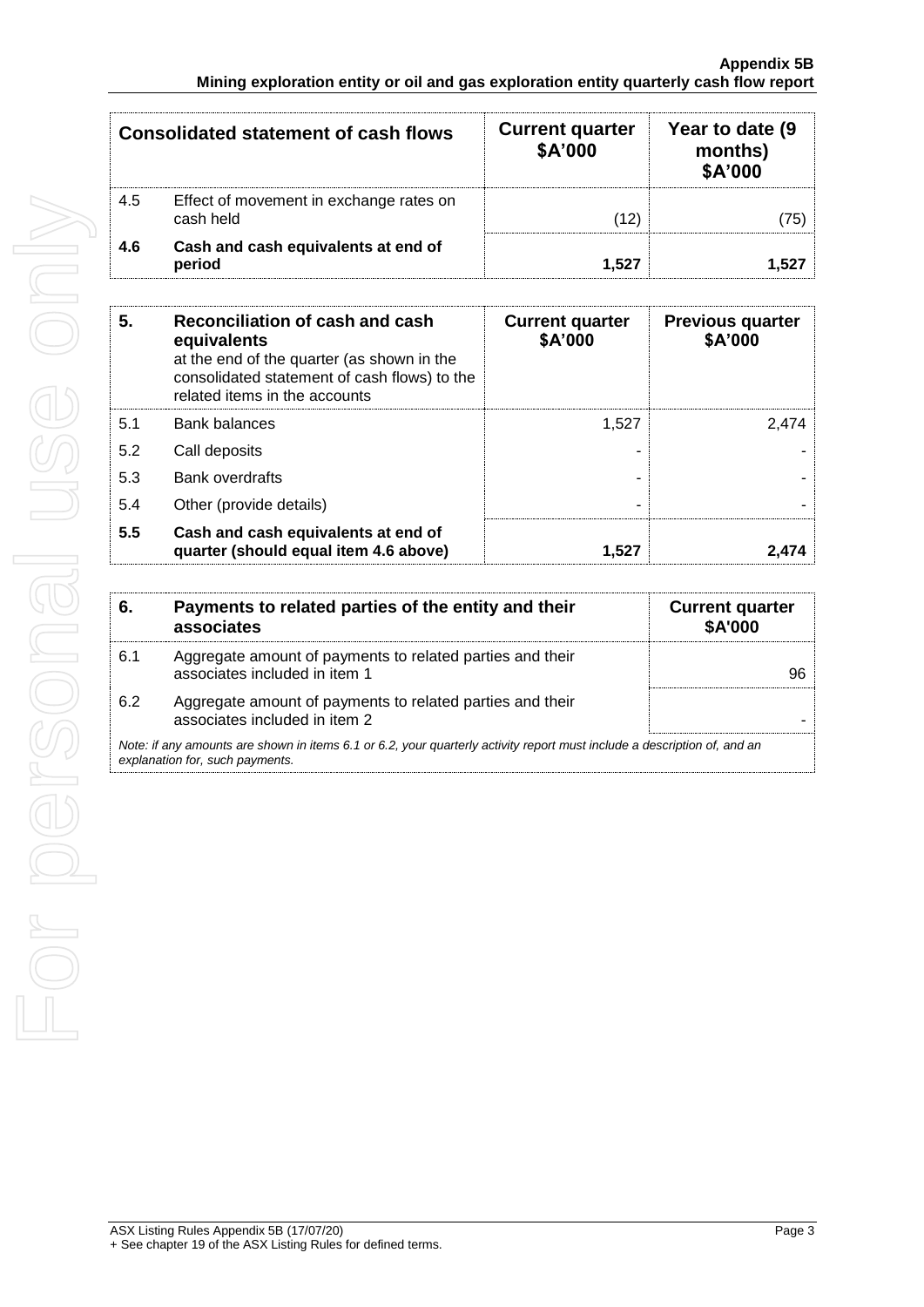|     | <b>Consolidated statement of cash flows</b>          | <b>Current quarter</b><br>\$A'000 | Year to date (9<br>months)<br>\$A'000 |
|-----|------------------------------------------------------|-----------------------------------|---------------------------------------|
| 4.5 | Effect of movement in exchange rates on<br>cash held | (12)                              | 75                                    |
| 4.6 | Cash and cash equivalents at end of<br>period        | 1.527                             | 152                                   |

| 5.  | Reconciliation of cash and cash<br>equivalents<br>at the end of the quarter (as shown in the<br>consolidated statement of cash flows) to the<br>related items in the accounts | <b>Current quarter</b><br>\$A'000 | <b>Previous quarter</b><br>\$A'000 |
|-----|-------------------------------------------------------------------------------------------------------------------------------------------------------------------------------|-----------------------------------|------------------------------------|
| 5.1 | <b>Bank balances</b>                                                                                                                                                          | 1.527                             | 2.474                              |
| 5.2 | Call deposits                                                                                                                                                                 |                                   |                                    |
| 5.3 | Bank overdrafts                                                                                                                                                               |                                   |                                    |
| 5.4 | Other (provide details)                                                                                                                                                       |                                   |                                    |
| 5.5 | Cash and cash equivalents at end of<br>quarter (should equal item 4.6 above)                                                                                                  | 1.527                             | 2.474                              |

| 6.                                                                                                                                                          | Payments to related parties of the entity and their<br>associates                          | <b>Current quarter</b><br><b>\$A'000</b> |
|-------------------------------------------------------------------------------------------------------------------------------------------------------------|--------------------------------------------------------------------------------------------|------------------------------------------|
| 6.1                                                                                                                                                         | Aggregate amount of payments to related parties and their<br>associates included in item 1 | 96                                       |
| 6.2                                                                                                                                                         | Aggregate amount of payments to related parties and their<br>associates included in item 2 |                                          |
| Note: if any amounts are shown in items 6.1 or 6.2, your quarterly activity report must include a description of, and an<br>explanation for, such payments. |                                                                                            |                                          |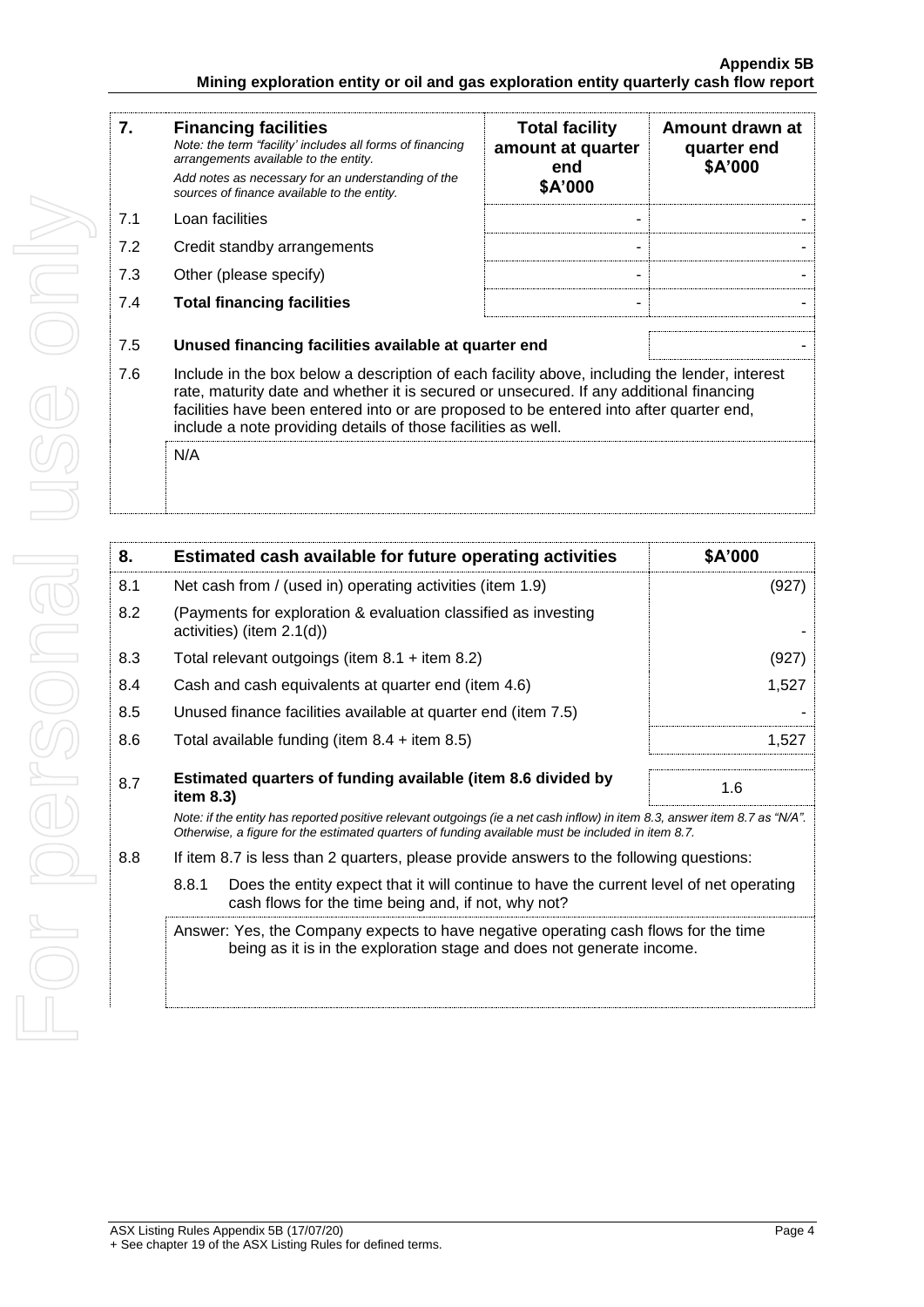#### **Appendix 5B Mining exploration entity or oil and gas exploration entity quarterly cash flow report**

| 7.  | <b>Financing facilities</b><br>Note: the term "facility' includes all forms of financing<br>arrangements available to the entity.<br>Add notes as necessary for an understanding of the<br>sources of finance available to the entity.                                                                                                               | <b>Total facility</b><br>amount at quarter<br>end<br>\$A'000 | Amount drawn at<br>quarter end<br>\$A'000 |
|-----|------------------------------------------------------------------------------------------------------------------------------------------------------------------------------------------------------------------------------------------------------------------------------------------------------------------------------------------------------|--------------------------------------------------------------|-------------------------------------------|
| 7.1 | Loan facilities                                                                                                                                                                                                                                                                                                                                      |                                                              |                                           |
| 7.2 | Credit standby arrangements                                                                                                                                                                                                                                                                                                                          |                                                              |                                           |
| 7.3 | Other (please specify)                                                                                                                                                                                                                                                                                                                               |                                                              |                                           |
| 7.4 | <b>Total financing facilities</b>                                                                                                                                                                                                                                                                                                                    |                                                              |                                           |
| 7.5 | Unused financing facilities available at quarter end                                                                                                                                                                                                                                                                                                 |                                                              |                                           |
| 7.6 | Include in the box below a description of each facility above, including the lender, interest<br>rate, maturity date and whether it is secured or unsecured. If any additional financing<br>facilities have been entered into or are proposed to be entered into after quarter end,<br>include a note providing details of those facilities as well. |                                                              |                                           |
|     | N/A                                                                                                                                                                                                                                                                                                                                                  |                                                              |                                           |

| 8.  | Estimated cash available for future operating activities                                                                                                                                                                        | \$A'000 |  |
|-----|---------------------------------------------------------------------------------------------------------------------------------------------------------------------------------------------------------------------------------|---------|--|
| 8.1 | Net cash from / (used in) operating activities (item 1.9)                                                                                                                                                                       | (927)   |  |
| 8.2 | (Payments for exploration & evaluation classified as investing<br>activities) (item $2.1(d)$ )                                                                                                                                  |         |  |
| 8.3 | Total relevant outgoings (item $8.1 +$ item $8.2$ )                                                                                                                                                                             | (927)   |  |
| 8.4 | Cash and cash equivalents at quarter end (item 4.6)                                                                                                                                                                             | 1,527   |  |
| 8.5 | Unused finance facilities available at quarter end (item 7.5)                                                                                                                                                                   |         |  |
| 8.6 | Total available funding (item $8.4 +$ item $8.5$ )                                                                                                                                                                              | 1,527   |  |
| 8.7 | Estimated quarters of funding available (item 8.6 divided by<br>item $8.3$ )                                                                                                                                                    | 1.6     |  |
|     | Note: if the entity has reported positive relevant outgoings (ie a net cash inflow) in item 8.3, answer item 8.7 as "N/A".<br>Otherwise, a figure for the estimated quarters of funding available must be included in item 8.7. |         |  |
| 8.8 | If item 8.7 is less than 2 quarters, please provide answers to the following questions:                                                                                                                                         |         |  |
|     | 8.8.1<br>Does the entity expect that it will continue to have the current level of net operating<br>cash flows for the time being and, if not, why not?                                                                         |         |  |
|     | Answer: Yes, the Company expects to have negative operating cash flows for the time<br>being as it is in the exploration stage and does not generate income.                                                                    |         |  |